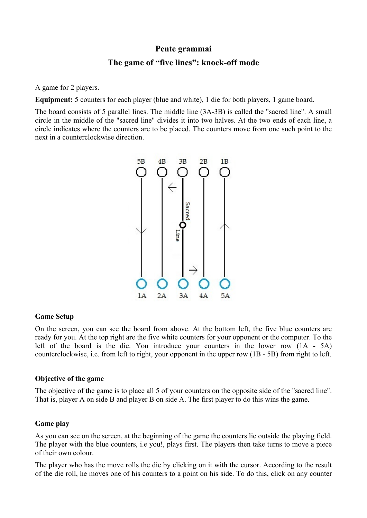## **Pente grammai**

# **The game of "five lines": knock-off mode**

A game for 2 players.

**Equipment:** 5 counters for each player (blue and white), 1 die for both players, 1 game board.

The board consists of 5 parallel lines. The middle line (3A-3B) is called the "sacred line". A small circle in the middle of the "sacred line" divides it into two halves. At the two ends of each line, a circle indicates where the counters are to be placed. The counters move from one such point to the next in a counterclockwise direction.



#### **Game Setup**

On the screen, you can see the board from above. At the bottom left, the five blue counters are ready for you. At the top right are the five white counters for your opponent or the computer. To the left of the board is the die. You introduce your counters in the lower row (1A - 5A) counterclockwise, i.e. from left to right, your opponent in the upper row (1B - 5B) from right to left.

#### **Objective of the game**

The objective of the game is to place all 5 of your counters on the opposite side of the "sacred line". That is, player A on side B and player B on side A. The first player to do this wins the game.

#### **Game play**

As you can see on the screen, at the beginning of the game the counters lie outside the playing field. The player with the blue counters, i.e you!, plays first. The players then take turns to move a piece of their own colour.

The player who has the move rolls the die by clicking on it with the cursor. According to the result of the die roll, he moves one of his counters to a point on his side. To do this, click on any counter